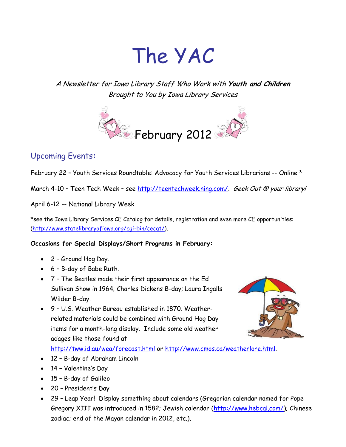# The YAC

A Newsletter for Iowa Library Staff Who Work with **Youth and Children** Brought to You by Iowa Library Services



# Upcoming Events**:**

February 22 – Youth Services Roundtable: Advocacy for Youth Services Librarians -- Online \*

March 4-10 - Teen Tech Week - see [http://teentechweek.ning.com/.](http://teentechweek.ning.com/) Geek Out @ your library!

April 6-12 -- National Library Week

\*see the Iowa Library Services CE Catalog for details, registration and even more CE opportunities: [\(http://www.statelibraryofiowa.org/cgi-bin/cecat/\)](http://www.statelibraryofiowa.org/cgi-bin/cecat/).

#### **Occasions for Special Displays/Short Programs in February:**

- 2 Ground Hog Day.
- 6 B-day of Babe Ruth.
- 7 The Beatles made their first appearance on the Ed Sullivan Show in 1964; Charles Dickens B-day; Laura Ingalls Wilder B-day.
- 9 U.S. Weather Bureau established in 1870. Weatherrelated materials could be combined with Ground Hog Day items for a month-long display. Include some old weather adages like those found at



#### <http://tww.id.au/wea/forecast.html> or [http://www.cmos.ca/weatherlore.html.](http://www.cmos.ca/weatherlore.html)

- 12 B-day of Abraham Lincoln
- 14 Valentine's Day
- 15 B-day of Galileo
- 20 President's Day
- 29 Leap Year! Display something about calendars (Gregorian calendar named for Pope Gregory XIII was introduced in 1582; Jewish calendar [\(http://www.hebcal.com/\)](http://www.hebcal.com/); Chinese zodiac; end of the Mayan calendar in 2012, etc.).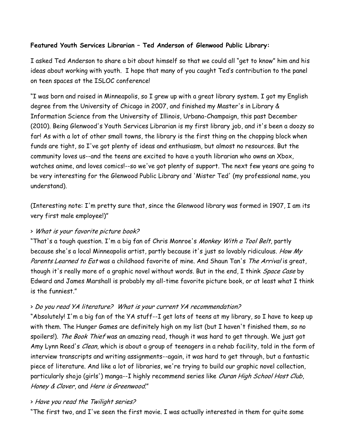# **Featured Youth Services Librarian – Ted Anderson of Glenwood Public Library:**

I asked Ted Anderson to share a bit about himself so that we could all "get to know" him and his ideas about working with youth. I hope that many of you caught Ted's contribution to the panel on teen spaces at the ISLOC conference!

"I was born and raised in Minneapolis, so I grew up with a great library system. I got my English degree from the University of Chicago in 2007, and finished my Master's in Library & Information Science from the University of Illinois, Urbana-Champaign, this past December (2010). Being Glenwood's Youth Services Librarian is my first library job, and it's been a doozy so far! As with a lot of other small towns, the library is the first thing on the chopping block when funds are tight, so I've got plenty of ideas and enthusiasm, but almost no resources. But the community loves us--and the teens are excited to have a youth librarian who owns an Xbox, watches anime, and loves comics!--so we've got plenty of support. The next few years are going to be very interesting for the Glenwood Public Library and 'Mister Ted' (my professional name, you understand).

(Interesting note: I'm pretty sure that, since the Glenwood library was formed in 1907, I am its very first male employee!)"

# > What is your favorite picture book?

"That's a tough question. I'm a big fan of Chris Monroe's Monkey With a Tool Belt, partly because she's a local Minneapolis artist, partly because it's just so lovably ridiculous. How My Parents Learned to Eat was a childhood favorite of mine. And Shaun Tan's The Arrival is great, though it's really more of a graphic novel without words. But in the end, I think *Space Case* by Edward and James Marshall is probably my all-time favorite picture book, or at least what I think is the funniest."

# > Do you read YA literature? What is your current YA recommendation?

"Absolutely! I'm a big fan of the YA stuff--I get lots of teens at my library, so I have to keep up with them. The Hunger Games are definitely high on my list (but I haven't finished them, so no spoilers!). The Book Thief was an amazing read, though it was hard to get through. We just got Amy Lynn Reed's *Clean*, which is about a group of teenagers in a rehab facility, told in the form of interview transcripts and writing assignments--again, it was hard to get through, but a fantastic piece of literature. And like a lot of libraries, we're trying to build our graphic novel collection, particularly shojo (girls') manga--I highly recommend series like Ouran High School Host Club, Honey & Clover, and Here is Greenwood."

#### > Have you read the Twilight series?

"The first two, and I've seen the first movie. I was actually interested in them for quite some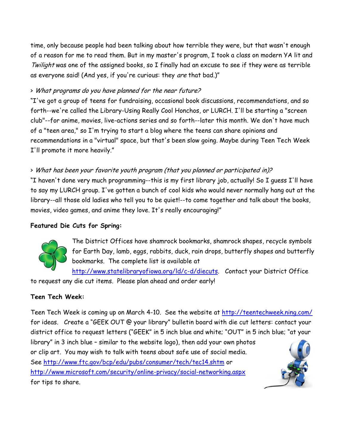time, only because people had been talking about how terrible they were, but that wasn't enough of a reason for me to read them. But in my master's program, I took a class on modern YA lit and Twilight was one of the assigned books, so I finally had an excuse to see if they were as terrible as everyone said! (And yes, if you're curious: they are that bad.)"

# > What programs do you have planned for the near future?

"I've got a group of teens for fundraising, occasional book discussions, recommendations, and so forth--we're called the Library-Using Really Cool Honchos, or LURCH. I'll be starting a "screen club"--for anime, movies, live-actions series and so forth--later this month. We don't have much of a "teen area," so I'm trying to start a blog where the teens can share opinions and recommendations in a "virtual" space, but that's been slow going. Maybe during Teen Tech Week I'll promote it more heavily."

# > What has been your favorite youth program (that you planned or participated in)?

"I haven't done very much programming--this is my first library job, actually! So I guess I'll have to say my LURCH group. I've gotten a bunch of cool kids who would never normally hang out at the library--all those old ladies who tell you to be quiet!--to come together and talk about the books, movies, video games, and anime they love. It's really encouraging!"

# **Featured Die Cuts for Spring:**



The District Offices have shamrock bookmarks, shamrock shapes, recycle symbols for Earth Day, lamb, eggs, rabbits, duck, rain drops, butterfly shapes and butterfly bookmarks. The complete list is available at

[http://www.statelibraryofiowa.org/ld/c-d/diecuts.](http://www.statelibraryofiowa.org/ld/c-d/diecuts) Contact your District Office to request any die cut items. Please plan ahead and order early!

# **Teen Tech Week:**

Teen Tech Week is coming up on March 4-10. See the website at<http://teentechweek.ning.com/> for ideas. Create a "GEEK OUT @ your library" bulletin board with die cut letters: contact your district office to request letters ("GEEK" in 5 inch blue and white; "OUT" in 5 inch blue; "at your

library" in 3 inch blue – similar to the website logo), then add your own photos or clip art. You may wish to talk with teens about safe use of social media. See<http://www.ftc.gov/bcp/edu/pubs/consumer/tech/tec14.shtm> or <http://www.microsoft.com/security/online-privacy/social-networking.aspx> for tips to share.

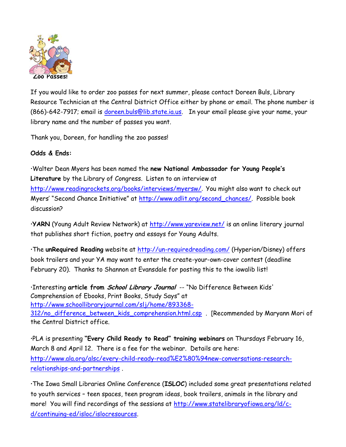

If you would like to order zoo passes for next summer, please contact Doreen Buls, Library Resource Technician at the Central District Office either by phone or email. The phone number is (866)-642-7917; email is [doreen.buls@lib.state.ia.us.](mailto:doreen.buls@lib.state.ia.us) In your email please give your name, your library name and the number of passes you want.

Thank you, Doreen, for handling the zoo passes!

# **Odds & Ends:**

Walter Dean Myers has been named the **new National Ambassador for Young People's Literature** by the Library of Congress. Listen to an interview at <http://www.readingrockets.org/books/interviews/myersw/>. You might also want to check out Myers' "Second Chance Initiative" at [http://www.adlit.org/second\\_chances/.](http://www.adlit.org/second_chances/) Possible book discussion?

**YARN** (Young Adult Review Network) at<http://www.yareview.net/> is an online literary journal that publishes short fiction, poetry and essays for Young Adults.

The **unRequired Reading** website at<http://un-requiredreading.com/> (Hyperion/Disney) offers book trailers and your YA may want to enter the create-your-own-cover contest (deadline February 20). Thanks to Shannon at Evansdale for posting this to the iowalib list!

Interesting **article from School Library Journal** -- "No Difference Between Kids' Comprehension of Ebooks, Print Books, Study Says" at [http://www.schoollibraryjournal.com/slj/home/893368-](http://www.schoollibraryjournal.com/slj/home/893368-312/no_difference_between_kids_comprehension.html.csp) [312/no\\_difference\\_between\\_kids\\_comprehension.html.csp](http://www.schoollibraryjournal.com/slj/home/893368-312/no_difference_between_kids_comprehension.html.csp) . [Recommended by Maryann Mori of

the Central District office.

PLA is presenting **"Every Child Ready to Read" training webinars** on Thursdays February 16, March 8 and April 12. There is a fee for the webinar. Details are here: [http://www.ala.org/alsc/every-child-ready-read%E2%80%94new-conversations-research](http://www.ala.org/alsc/every-child-ready-read%E2%80%94new-conversations-research-relationships-and-partnerships)[relationships-and-partnerships](http://www.ala.org/alsc/every-child-ready-read%E2%80%94new-conversations-research-relationships-and-partnerships) .

The Iowa Small Libraries Online Conference (**ISLOC**) included some great presentations related to youth services – teen spaces, teen program ideas, book trailers, animals in the library and more! You will find recordings of the sessions at [http://www.statelibraryofiowa.org/ld/c](http://www.statelibraryofiowa.org/ld/c-d/continuing-ed/isloc/islocresources)[d/continuing-ed/isloc/islocresources.](http://www.statelibraryofiowa.org/ld/c-d/continuing-ed/isloc/islocresources)